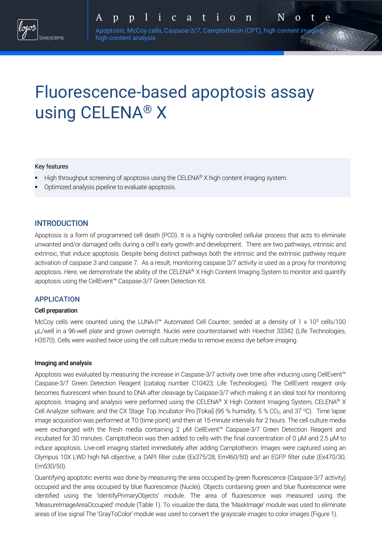Apoptosis, McCoy cells, Caspase-3/7, Camptothecin (CPT), high content imaging, high content analysis

# Fluorescence-based apoptosis assay using CELENA® X

### Key features

- High throughput screening of apoptosis using the CELENA® X high content imaging system.
- Optimized analysis pipeline to evaluate apoptosis.

## **INTRODUCTION**

Apoptosis is a form of programmed cell death (PCD). It is a highly controlled cellular process that acts to eliminate unwanted and/or damaged cells during a cell's early growth and development. There are two pathways, intrinsic and extrinsic, that induce apoptosis. Despite being distinct pathways both the intrinsic and the extrinsic pathway require activation of caspase 3 and caspase 7. As a result, monitoring caspase 3/7 activity is used as a proxy for monitoring apoptosis. Here, we demonstrate the ability of the CELENA® X High Content Imaging System to monitor and quantify apoptosis using the CellEvent™ Caspase-3/7 Green Detection Kit.

## APPLICATION

#### Cell preparation

McCoy cells were counted using the LUNA-II<sup>™</sup> Automated Cell Counter, seeded at a density of 1 x 10<sup>3</sup> cells/100 µL/well in a 96-well plate and grown overnight. Nuclei were counterstained with Hoechst 33342 (Life Technologies, H3570). Cells were washed twice using the cell culture media to remove excess dye before imaging.

#### Imaging and analysis

Apoptosis was evaluated by measuring the increase in Caspase-3/7 activity over time after inducing using CellEvent™ Caspase-3/7 Green Detection Reagent (catalog number C10423; Life Technologies). The CellEvent reagent only becomes fluorescent when bound to DNA after cleavage by Caspase-3/7 which making it an ideal tool for monitoring apoptosis. Imaging and analysis were performed using the CELENA® X High Content Imaging System, CELENA® X Cell Analyzer software, and the CX Stage Top Incubator Pro [Tokai] (95 % humidity, 5 % CO<sub>2</sub>, and 37 °C). Time lapse image acquisition was performed at T0 (time point) and then at 15-minute intervals for 2 hours. The cell culture media were exchanged with the fresh media containing 2 µM CellEvent™ Caspase-3/7 Green Detection Reagent and incubated for 30 minutes. Camptothecin was then added to cells with the final concentration of 0 µM and 2.5 µM to induce apoptosis. Live-cell imaging started immediately after adding Camptothecin. Images were captured using an Olympus 10X LWD high NA objective, a DAPI filter cube (Ex375/28, Em460/50) and an EGFP filter cube (Ex470/30, Em530/50).

Quantifying apoptotic events was done by measuring the area occupied by green fluorescence (Caspase-3/7 activity) occupied and the area occupied by blue fluorescence (Nuclei). Objects containing green and blue fluorescence were identified using the 'IdentifyPrimaryObjects' module. The area of fluorescence was measured using the 'MeasureImageAreaOccupied' module (Table 1). To visualize the data, the 'MaskImage' module was used to eliminate areas of low signal The 'GrayToColor' module was used to convert the grayscale images to color images (Figure 1).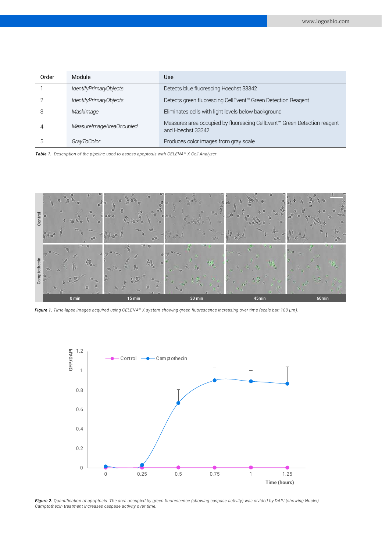| Order | Module                   | <b>Use</b>                                                                                    |
|-------|--------------------------|-----------------------------------------------------------------------------------------------|
|       | IdentifyPrimaryObjects   | Detects blue fluorescing Hoechst 33342                                                        |
|       | IdentifyPrimaryObjects   | Detects green fluorescing CellEvent™ Green Detection Reagent                                  |
|       | MaskImage                | Eliminates cells with light levels below background                                           |
| 4     | MeasureImageAreaOccupied | Measures area occupied by fluorescing CellEvent™ Green Detection reagent<br>and Hoechst 33342 |
|       | GrayToColor              | Produces color images from gray scale                                                         |

*Table 1. Description of the pipeline used to assess apoptosis with CELENA® X Cell Analyzer*



*Figure 1. Time-lapse images acquired using CELENA® X system showing green fluorescence increasing over time (scale bar: 100 µm).*



*Figure 2. Quantification of apoptosis. The area occupied by green fluorescence (showing caspase activity) was divided by DAPI (showing Nuclei). Camptothecin treatment increases caspase activity over time.*